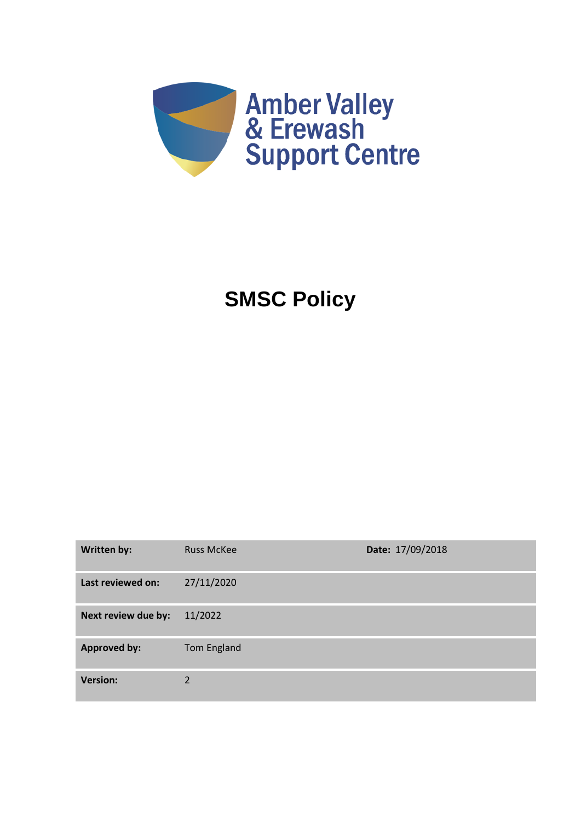

# **SMSC Policy**

| <b>Written by:</b>  | <b>Russ McKee</b>  | Date: 17/09/2018 |
|---------------------|--------------------|------------------|
| Last reviewed on:   | 27/11/2020         |                  |
| Next review due by: | 11/2022            |                  |
| <b>Approved by:</b> | <b>Tom England</b> |                  |
| <b>Version:</b>     | 2                  |                  |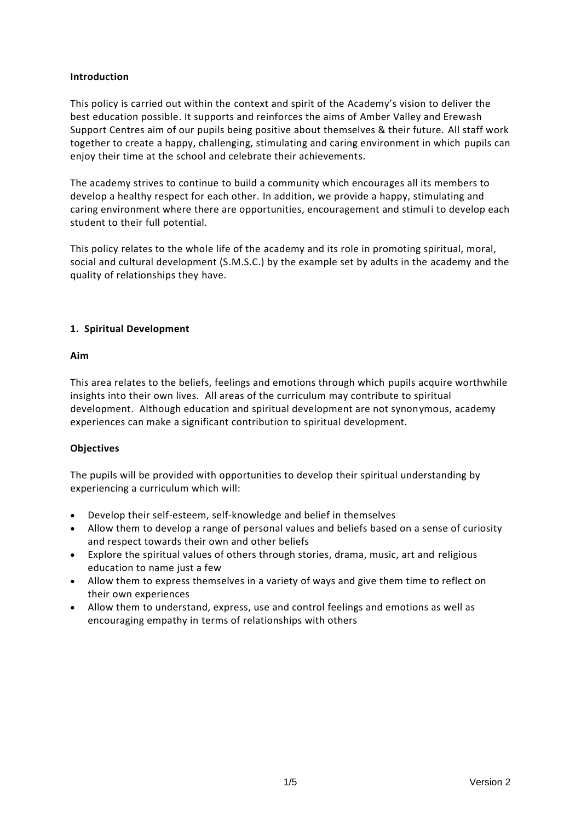## **Introduction**

This policy is carried out within the context and spirit of the Academy's vision to deliver the best education possible. It supports and reinforces the aims of Amber Valley and Erewash Support Centres aim of our pupils being positive about themselves & their future. All staff work together to create a happy, challenging, stimulating and caring environment in which pupils can enjoy their time at the school and celebrate their achievements.

The academy strives to continue to build a community which encourages all its members to develop a healthy respect for each other. In addition, we provide a happy, stimulating and caring environment where there are opportunities, encouragement and stimuli to develop each student to their full potential.

This policy relates to the whole life of the academy and its role in promoting spiritual, moral, social and cultural development (S.M.S.C.) by the example set by adults in the academy and the quality of relationships they have.

# **1. Spiritual Development**

# **Aim**

This area relates to the beliefs, feelings and emotions through which pupils acquire worthwhile insights into their own lives. All areas of the curriculum may contribute to spiritual development. Although education and spiritual development are not synonymous, academy experiences can make a significant contribution to spiritual development.

# **Objectives**

The pupils will be provided with opportunities to develop their spiritual understanding by experiencing a curriculum which will:

- Develop their self-esteem, self-knowledge and belief in themselves
- Allow them to develop a range of personal values and beliefs based on a sense of curiosity and respect towards their own and other beliefs
- Explore the spiritual values of others through stories, drama, music, art and religious education to name just a few
- Allow them to express themselves in a variety of ways and give them time to reflect on their own experiences
- Allow them to understand, express, use and control feelings and emotions as well as encouraging empathy in terms of relationships with others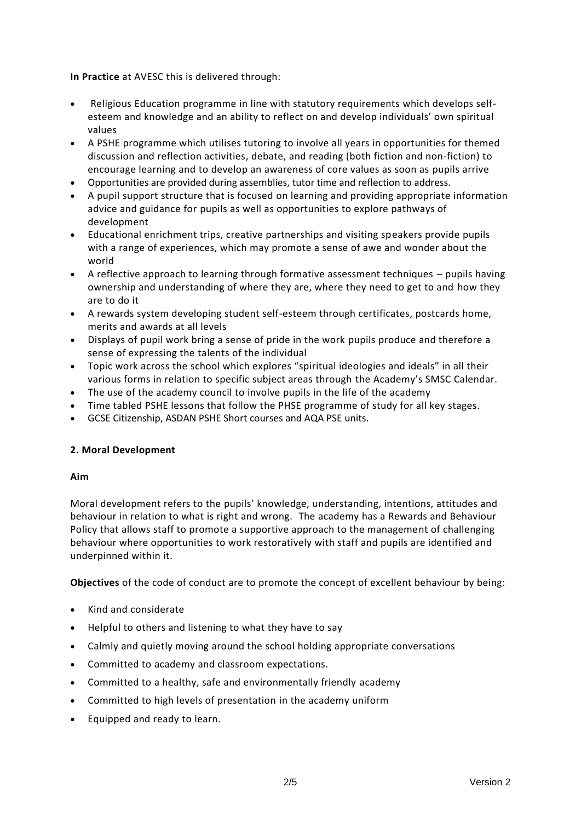**In Practice** at AVESC this is delivered through:

- Religious Education programme in line with statutory requirements which develops selfesteem and knowledge and an ability to reflect on and develop individuals' own spiritual values
- A PSHE programme which utilises tutoring to involve all years in opportunities for themed discussion and reflection activities, debate, and reading (both fiction and non-fiction) to encourage learning and to develop an awareness of core values as soon as pupils arrive
- Opportunities are provided during assemblies, tutor time and reflection to address.
- A pupil support structure that is focused on learning and providing appropriate information advice and guidance for pupils as well as opportunities to explore pathways of development
- Educational enrichment trips, creative partnerships and visiting speakers provide pupils with a range of experiences, which may promote a sense of awe and wonder about the world
- A reflective approach to learning through formative assessment techniques pupils having ownership and understanding of where they are, where they need to get to and how they are to do it
- A rewards system developing student self-esteem through certificates, postcards home, merits and awards at all levels
- Displays of pupil work bring a sense of pride in the work pupils produce and therefore a sense of expressing the talents of the individual
- Topic work across the school which explores "spiritual ideologies and ideals" in all their various forms in relation to specific subject areas through the Academy's SMSC Calendar.
- The use of the academy council to involve pupils in the life of the academy
- Time tabled PSHE lessons that follow the PHSE programme of study for all key stages.
- GCSE Citizenship, ASDAN PSHE Short courses and AQA PSE units.

# **2. Moral Development**

# **Aim**

Moral development refers to the pupils' knowledge, understanding, intentions, attitudes and behaviour in relation to what is right and wrong. The academy has a Rewards and Behaviour Policy that allows staff to promote a supportive approach to the management of challenging behaviour where opportunities to work restoratively with staff and pupils are identified and underpinned within it.

**Objectives** of the code of conduct are to promote the concept of excellent behaviour by being:

- Kind and considerate
- Helpful to others and listening to what they have to say
- Calmly and quietly moving around the school holding appropriate conversations
- Committed to academy and classroom expectations.
- Committed to a healthy, safe and environmentally friendly academy
- Committed to high levels of presentation in the academy uniform
- Equipped and ready to learn.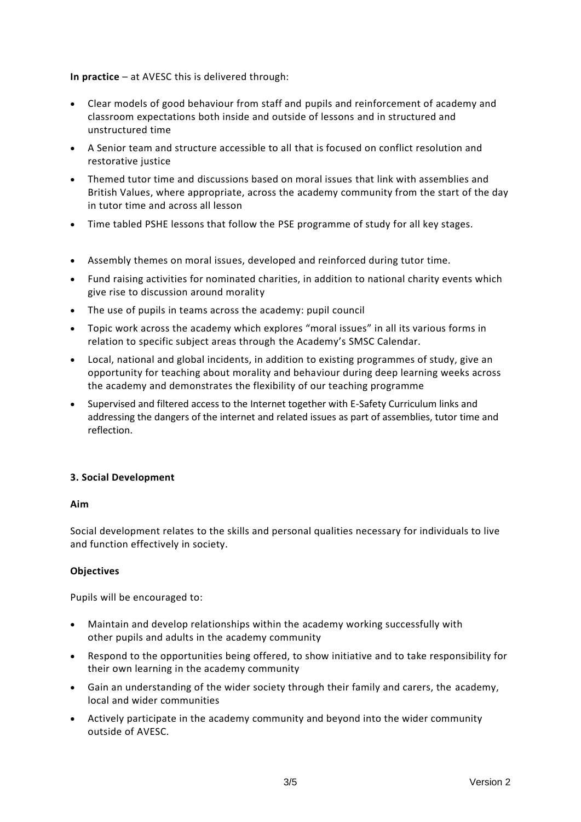**In practice** – at AVESC this is delivered through:

- Clear models of good behaviour from staff and pupils and reinforcement of academy and classroom expectations both inside and outside of lessons and in structured and unstructured time
- A Senior team and structure accessible to all that is focused on conflict resolution and restorative justice
- Themed tutor time and discussions based on moral issues that link with assemblies and British Values, where appropriate, across the academy community from the start of the day in tutor time and across all lesson
- Time tabled PSHE lessons that follow the PSE programme of study for all key stages.
- Assembly themes on moral issues, developed and reinforced during tutor time.
- Fund raising activities for nominated charities, in addition to national charity events which give rise to discussion around morality
- The use of pupils in teams across the academy: pupil council
- Topic work across the academy which explores "moral issues" in all its various forms in relation to specific subject areas through the Academy's SMSC Calendar.
- Local, national and global incidents, in addition to existing programmes of study, give an opportunity for teaching about morality and behaviour during deep learning weeks across the academy and demonstrates the flexibility of our teaching programme
- Supervised and filtered access to the Internet together with E-Safety Curriculum links and addressing the dangers of the internet and related issues as part of assemblies, tutor time and reflection.

#### **3. Social Development**

#### **Aim**

Social development relates to the skills and personal qualities necessary for individuals to live and function effectively in society.

#### **Objectives**

Pupils will be encouraged to:

- Maintain and develop relationships within the academy working successfully with other pupils and adults in the academy community
- Respond to the opportunities being offered, to show initiative and to take responsibility for their own learning in the academy community
- Gain an understanding of the wider society through their family and carers, the academy, local and wider communities
- Actively participate in the academy community and beyond into the wider community outside of AVESC.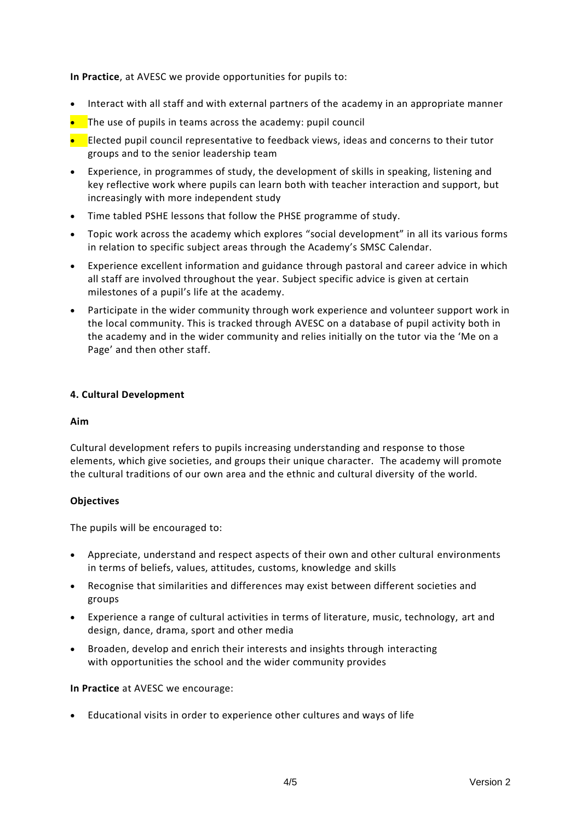**In Practice**, at AVESC we provide opportunities for pupils to:

- Interact with all staff and with external partners of the academy in an appropriate manner
- $\bullet$  The use of pupils in teams across the academy: pupil council
- Elected pupil council representative to feedback views, ideas and concerns to their tutor groups and to the senior leadership team
- Experience, in programmes of study, the development of skills in speaking, listening and key reflective work where pupils can learn both with teacher interaction and support, but increasingly with more independent study
- Time tabled PSHE lessons that follow the PHSE programme of study.
- Topic work across the academy which explores "social development" in all its various forms in relation to specific subject areas through the Academy's SMSC Calendar.
- Experience excellent information and guidance through pastoral and career advice in which all staff are involved throughout the year. Subject specific advice is given at certain milestones of a pupil's life at the academy.
- Participate in the wider community through work experience and volunteer support work in the local community. This is tracked through AVESC on a database of pupil activity both in the academy and in the wider community and relies initially on the tutor via the 'Me on a Page' and then other staff.

## **4. Cultural Development**

#### **Aim**

Cultural development refers to pupils increasing understanding and response to those elements, which give societies, and groups their unique character. The academy will promote the cultural traditions of our own area and the ethnic and cultural diversity of the world.

#### **Objectives**

The pupils will be encouraged to:

- Appreciate, understand and respect aspects of their own and other cultural environments in terms of beliefs, values, attitudes, customs, knowledge and skills
- Recognise that similarities and differences may exist between different societies and groups
- Experience a range of cultural activities in terms of literature, music, technology, art and design, dance, drama, sport and other media
- Broaden, develop and enrich their interests and insights through interacting with opportunities the school and the wider community provides

#### **In Practice** at AVESC we encourage:

• Educational visits in order to experience other cultures and ways of life